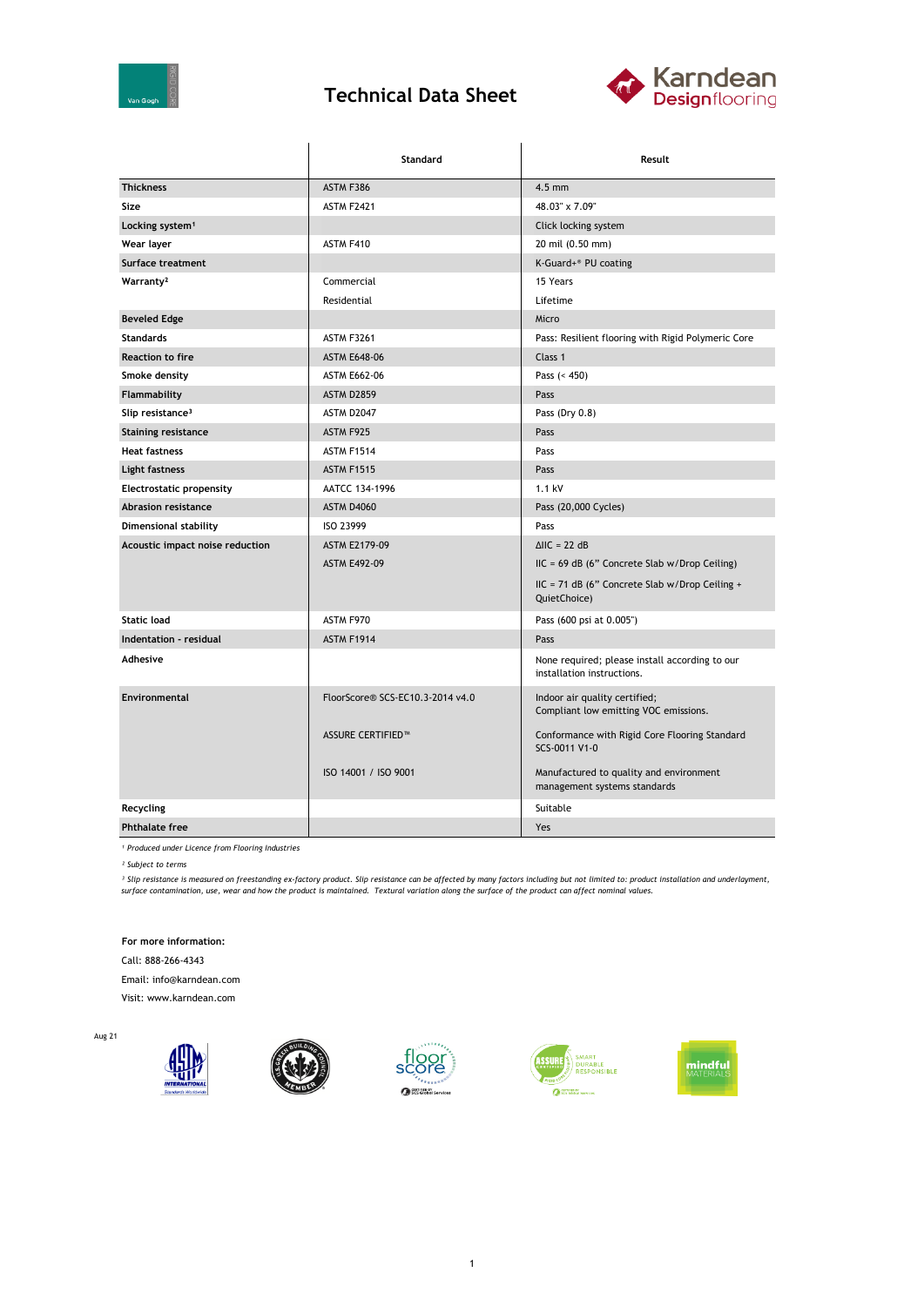

## **Technical Data Sheet**



|                                 | Standard                         | Result                                                                       |  |
|---------------------------------|----------------------------------|------------------------------------------------------------------------------|--|
| <b>Thickness</b>                | ASTM F386                        | $4.5$ mm                                                                     |  |
| Size                            | <b>ASTM F2421</b>                | 48.03" x 7.09"                                                               |  |
| Locking system <sup>1</sup>     |                                  | Click locking system                                                         |  |
| Wear layer                      | ASTM F410                        | 20 mil (0.50 mm)                                                             |  |
| Surface treatment               |                                  | K-Guard+® PU coating                                                         |  |
| Warranty <sup>2</sup>           | Commercial                       | 15 Years                                                                     |  |
|                                 | Residential                      | Lifetime                                                                     |  |
| <b>Beveled Edge</b>             |                                  | Micro                                                                        |  |
| <b>Standards</b>                | <b>ASTM F3261</b>                | Pass: Resilient flooring with Rigid Polymeric Core                           |  |
| <b>Reaction to fire</b>         | <b>ASTM E648-06</b>              | Class 1                                                                      |  |
| Smoke density                   | <b>ASTM E662-06</b>              | Pass $(< 450)$                                                               |  |
| Flammability                    | <b>ASTM D2859</b>                | Pass                                                                         |  |
| Slip resistance <sup>3</sup>    | ASTM D2047                       | Pass (Dry 0.8)                                                               |  |
| <b>Staining resistance</b>      | ASTM F925                        | Pass                                                                         |  |
| <b>Heat fastness</b>            | <b>ASTM F1514</b>                | Pass                                                                         |  |
| Light fastness                  | <b>ASTM F1515</b>                | Pass                                                                         |  |
| <b>Electrostatic propensity</b> | AATCC 134-1996                   | 1.1 kV                                                                       |  |
| <b>Abrasion resistance</b>      | <b>ASTM D4060</b>                | Pass (20,000 Cycles)                                                         |  |
| Dimensional stability           | ISO 23999                        | Pass                                                                         |  |
| Acoustic impact noise reduction | <b>ASTM E2179-09</b>             | $\Delta$ IIC = 22 dB                                                         |  |
|                                 | <b>ASTM E492-09</b>              | $HC = 69 dB$ (6" Concrete Slab w/Drop Ceiling)                               |  |
|                                 |                                  | IIC = 71 dB (6" Concrete Slab w/Drop Ceiling +<br>QuietChoice)               |  |
| <b>Static load</b>              | ASTM F970                        | Pass (600 psi at 0.005")                                                     |  |
| Indentation - residual          | <b>ASTM F1914</b>                | Pass                                                                         |  |
| Adhesive                        |                                  | None required; please install according to our<br>installation instructions. |  |
| Environmental                   | FloorScore® SCS-EC10.3-2014 v4.0 | Indoor air quality certified;<br>Compliant low emitting VOC emissions.       |  |
|                                 | <b>ASSURE CERTIFIED™</b>         | Conformance with Rigid Core Flooring Standard<br>SCS-0011 V1-0               |  |
|                                 | ISO 14001 / ISO 9001             | Manufactured to quality and environment<br>management systems standards      |  |
| Recycling                       |                                  | Suitable                                                                     |  |
| <b>Phthalate free</b>           |                                  | Yes                                                                          |  |

*¹ Produced under Licence from Flooring Industries*

*² Subject to terms*

<sup>3</sup> Slip resistance is measured on freestanding ex-factory product. Slip resistance can be affected by many factors including but not limited to: product installation and underlayment,<br>surface contamination, use, wear and

**For more information:**

Call: 888-266-4343

Email: info@karndean.com

Visit: www.karndean.com